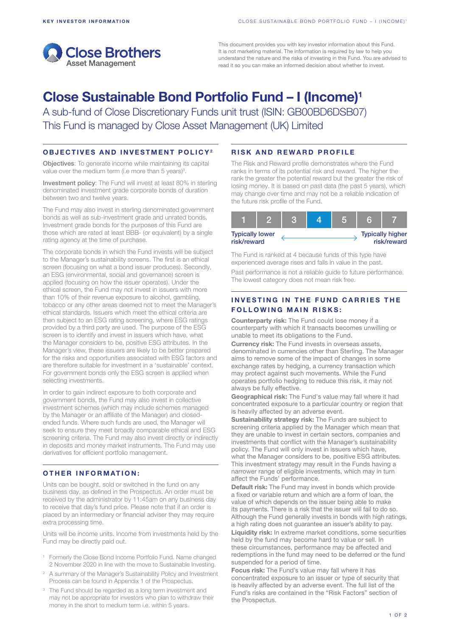

This document provides you with key investor information about this Fund. It is not marketing material. The information is required by law to help you understand the nature and the risks of investing in this Fund. You are advised to read it so you can make an informed decision about whether to invest.

# Close Sustainable Bond Portfolio Fund – I (Income)1

A sub-fund of Close Discretionary Funds unit trust (ISIN: GB00BD6DSB07) This Fund is managed by Close Asset Management (UK) Limited

# OBJECTIVES AND INVESTMENT POLICY2

Objectives: To generate income while maintaining its capital value over the medium term (i.e more than 5 years)<sup>3</sup>.

Investment policy: The Fund will invest at least 80% in sterling denominated investment grade corporate bonds of duration between two and twelve years.

The Fund may also invest in sterling denominated government bonds as well as sub-investment grade and unrated bonds. Investment grade bonds for the purposes of this Fund are those which are rated at least BBB- (or equivalent) by a single rating agency at the time of purchase.

The corporate bonds in which the Fund invests will be subject to the Manager's sustainability screens. The first is an ethical screen (focusing on what a bond issuer produces). Secondly, an ESG (environmental, social and governance) screen is applied (focusing on how the issuer operates). Under the ethical screen, the Fund may not invest in issuers with more than 10% of their revenue exposure to alcohol, gambling, tobacco or any other areas deemed not to meet the Manager's ethical standards. Issuers which meet the ethical criteria are then subject to an ESG rating screening, where ESG ratings provided by a third party are used. The purpose of the ESG screen is to identify and invest in issuers which have, what the Manager considers to be, positive ESG attributes. In the Manager's view, these issuers are likely to be better prepared for the risks and opportunities associated with ESG factors and are therefore suitable for investment in a 'sustainable' context. For government bonds only the ESG screen is applied when selecting investments.

In order to gain indirect exposure to both corporate and government bonds, the Fund may also invest in collective investment schemes (which may include schemes managed by the Manager or an affiliate of the Manager) and closedended funds. Where such funds are used, the Manager will seek to ensure they meet broadly comparable ethical and ESG screening criteria. The Fund may also invest directly or indirectly in deposits and money market instruments. The Fund may use derivatives for efficient portfolio management.

#### OTHER INFORMATION:

Units can be bought, sold or switched in the fund on any business day, as defined in the Prospectus. An order must be received by the administrator by 11:45am on any business day to receive that day's fund price. Please note that if an order is placed by an intermediary or financial adviser they may require extra processing time.

Units will be income units. Income from investments held by the Fund may be directly paid out.

- <sup>1</sup> Formerly the Close Bond Income Portfolio Fund. Name changed 2 November 2020 in line with the move to Sustainable Investing.
- <sup>2</sup> A summary of the Manager's Sustainability Policy and Investment Process can be found in Appendix 1 of the Prospectus.
- <sup>3</sup> The Fund should be regarded as a long term investment and may not be appropriate for investors who plan to withdraw their money in the short to medium term i.e. within 5 years.

# RISK AND REWARD PROFILE

The Risk and Reward profile demonstrates where the Fund ranks in terms of its potential risk and reward. The higher the rank the greater the potential reward but the greater the risk of losing money. It is based on past data (the past 5 years), which may change over time and may not be a reliable indication of the future risk profile of the Fund.

| <b>Typically lower</b><br>risk/reward |  |  |  |  | <b>Typically higher</b><br>risk/reward |
|---------------------------------------|--|--|--|--|----------------------------------------|

The Fund is ranked at 4 because funds of this type have experienced average rises and falls in value in the past.

Past performance is not a reliable guide to future performance. The lowest category does not mean risk free.

# INVESTING IN THE FUND CARRIES THE **FOLLOWING MAIN RISKS:**

Counterparty risk: The Fund could lose money if a counterparty with which it transacts becomes unwilling or unable to meet its obligations to the Fund.

Currency risk: The Fund invests in overseas assets, denominated in currencies other than Sterling. The Manager aims to remove some of the impact of changes in some exchange rates by hedging, a currency transaction which may protect against such movements. While the Fund operates portfolio hedging to reduce this risk, it may not always be fully effective.

Geographical risk: The Fund's value may fall where it had concentrated exposure to a particular country or region that is heavily affected by an adverse event.

Sustainability strategy risk: The Funds are subject to screening criteria applied by the Manager which mean that they are unable to invest in certain sectors, companies and investments that conflict with the Manager's sustainability policy. The Fund will only invest in issuers which have, what the Manager considers to be, positive ESG attributes. This investment strategy may result in the Funds having a narrower range of eligible investments, which may in turn affect the Funds' performance.

Default risk: The Fund may invest in bonds which provide a fixed or variable return and which are a form of loan, the value of which depends on the issuer being able to make its payments. There is a risk that the issuer will fail to do so. Although the Fund generally invests in bonds with high ratings, a high rating does not guarantee an issuer's ability to pay.

Liquidity risk: In extreme market conditions, some securities held by the fund may become hard to value or sell. In these circumstances, performance may be affected and redemptions in the fund may need to be deferred or the fund suspended for a period of time.

Focus risk: The Fund's value may fall where it has concentrated exposure to an issuer or type of security that is heavily affected by an adverse event. The full list of the Fund's risks are contained in the "Risk Factors" section of the Prospectus.